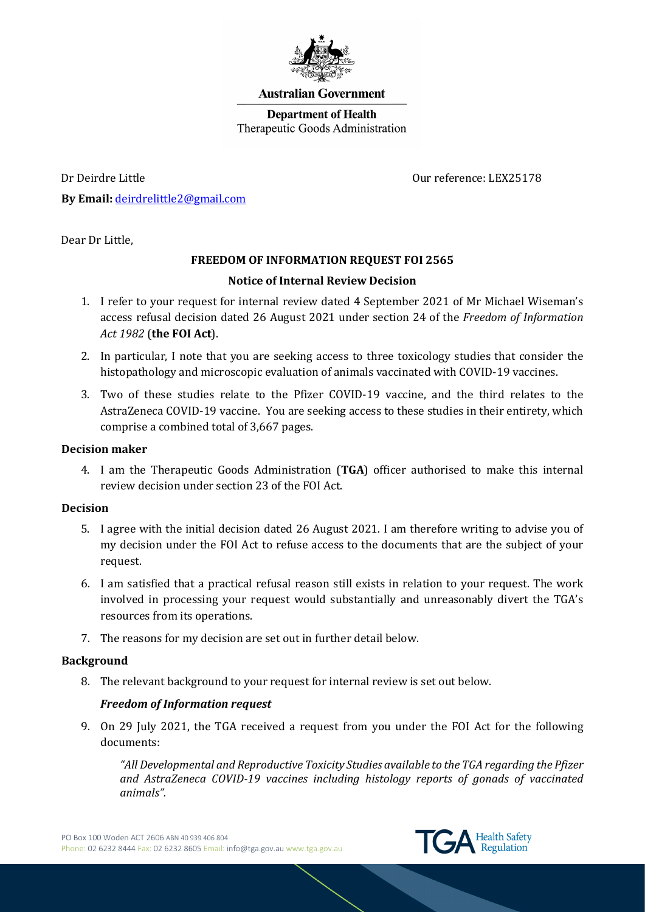

### **Australian Government**

**Department of Health** Therapeutic Goods Administration

Dr Deirdre Little Our reference: LEX25178 **By Email:** [deirdrelittle2@gmail.com](mailto:deirdrelittle2@gmail.com)

Dear Dr Little,

# **FREEDOM OF INFORMATION REQUEST FOI 2565**

## **Notice of Internal Review Decision**

- 1. I refer to your request for internal review dated 4 September 2021 of Mr Michael Wiseman's access refusal decision dated 26 August 2021 under section 24 of the *Freedom of Information Act 1982* (**the FOI Act**).
- 2. In particular, I note that you are seeking access to three toxicology studies that consider the histopathology and microscopic evaluation of animals vaccinated with COVID-19 vaccines.
- 3. Two of these studies relate to the Pfizer COVID-19 vaccine, and the third relates to the AstraZeneca COVID-19 vaccine. You are seeking access to these studies in their entirety, which comprise a combined total of 3,667 pages.

## **Decision maker**

4. I am the Therapeutic Goods Administration (**TGA**) officer authorised to make this internal review decision under section 23 of the FOI Act.

## **Decision**

- 5. I agree with the initial decision dated 26 August 2021. I am therefore writing to advise you of my decision under the FOI Act to refuse access to the documents that are the subject of your request.
- 6. I am satisfied that a practical refusal reason still exists in relation to your request. The work involved in processing your request would substantially and unreasonably divert the TGA's resources from its operations.
- 7. The reasons for my decision are set out in further detail below.

## **Background**

8. The relevant background to your request for internal review is set out below.

## *Freedom of Information request*

9. On 29 July 2021, the TGA received a request from you under the FOI Act for the following documents:

*"All Developmental and Reproductive Toxicity Studies available to the TGA regarding the Pfizer and AstraZeneca COVID-19 vaccines including histology reports of gonads of vaccinated animals".*

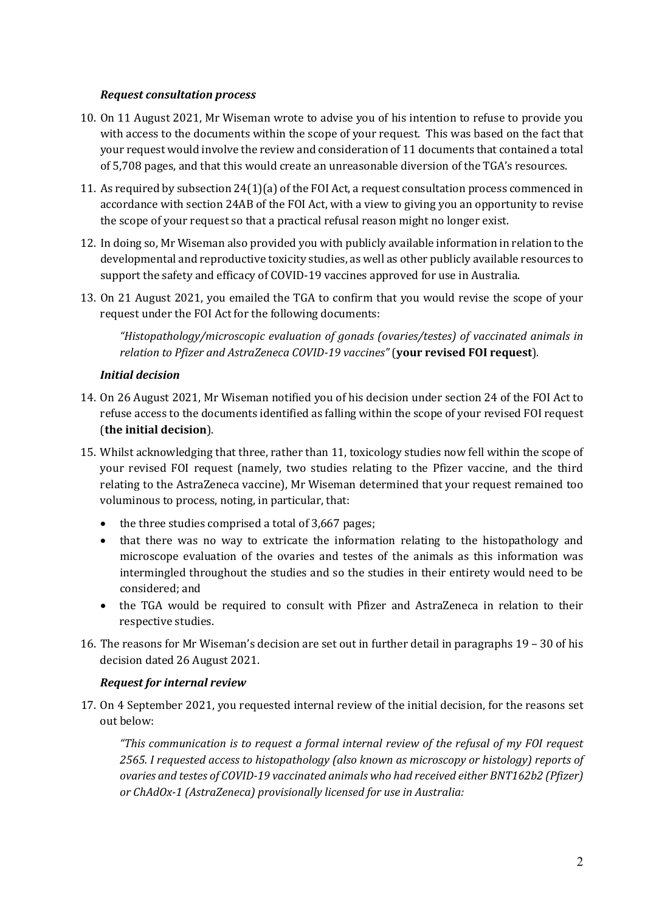## *Request consultation process*

- 10. On 11 August 2021, Mr Wiseman wrote to advise you of his intention to refuse to provide you with access to the documents within the scope of your request. This was based on the fact that your request would involve the review and consideration of 11 documents that contained a total of 5,708 pages, and that this would create an unreasonable diversion of the TGA's resources.
- 11. As required by subsection 24(1)(a) of the FOI Act, a request consultation process commenced in accordance with section 24AB of the FOI Act, with a view to giving you an opportunity to revise the scope of your request so that a practical refusal reason might no longer exist.
- 12. In doing so, Mr Wiseman also provided you with publicly available information in relation to the developmental and reproductive toxicity studies, as well as other publicly available resources to support the safety and efficacy of COVID-19 vaccines approved for use in Australia.
- 13. On 21 August 2021, you emailed the TGA to confirm that you would revise the scope of your request under the FOI Act for the following documents:

*"Histopathology/microscopic evaluation of gonads (ovaries/testes) of vaccinated animals in relation to Pfizer and AstraZeneca COVID-19 vaccines"* (**your revised FOI request**)*.*

## *Initial decision*

- 14. On 26 August 2021, Mr Wiseman notified you of his decision under section 24 of the FOI Act to refuse access to the documents identified as falling within the scope of your revised FOI request (**the initial decision**).
- 15. Whilst acknowledging that three, rather than 11, toxicology studies now fell within the scope of your revised FOI request (namely, two studies relating to the Pfizer vaccine, and the third relating to the AstraZeneca vaccine), Mr Wiseman determined that your request remained too voluminous to process, noting, in particular, that:
	- the three studies comprised a total of 3,667 pages;
	- that there was no way to extricate the information relating to the histopathology and microscope evaluation of the ovaries and testes of the animals as this information was intermingled throughout the studies and so the studies in their entirety would need to be considered; and
	- the TGA would be required to consult with Pfizer and AstraZeneca in relation to their respective studies.
- 16. The reasons for Mr Wiseman's decision are set out in further detail in paragraphs 19 30 of his decision dated 26 August 2021.

### *Request for internal review*

17. On 4 September 2021, you requested internal review of the initial decision, for the reasons set out below:

*"This communication is to request a formal internal review of the refusal of my FOI request 2565. I requested access to histopathology (also known as microscopy or histology) reports of ovaries and testes of COVID-19 vaccinated animals who had received either BNT162b2 (Pfizer) or ChAdOx-1 (AstraZeneca) provisionally licensed for use in Australia:*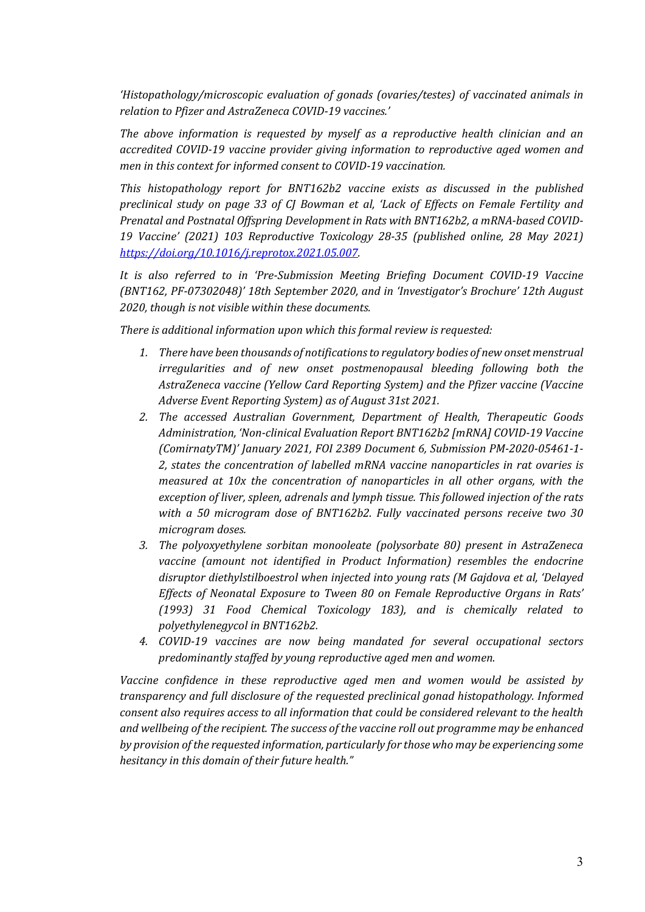*'Histopathology/microscopic evaluation of gonads (ovaries/testes) of vaccinated animals in relation to Pfizer and AstraZeneca COVID-19 vaccines.'*

*The above information is requested by myself as a reproductive health clinician and an accredited COVID-19 vaccine provider giving information to reproductive aged women and men in this context for informed consent to COVID-19 vaccination.*

*This histopathology report for BNT162b2 vaccine exists as discussed in the published preclinical study on page 33 of CJ Bowman et al, 'Lack of Effects on Female Fertility and Prenatal and Postnatal Offspring Development in Rats with BNT162b2, a mRNA-based COVID-19 Vaccine' (2021) 103 Reproductive Toxicology 28-35 (published online, 28 May 2021) [https://doi.org/10.1016/j.reprotox.2021.05.007.](https://doi.org/10.1016/j.reprotox.2021.05.007)* 

*It is also referred to in 'Pre-Submission Meeting Briefing Document COVID-19 Vaccine (BNT162, PF-07302048)' 18th September 2020, and in 'Investigator's Brochure' 12th August 2020, though is not visible within these documents.*

*There is additional information upon which this formal review is requested:*

- *1. There have been thousands of notifications to regulatory bodies of new onset menstrual irregularities and of new onset postmenopausal bleeding following both the AstraZeneca vaccine (Yellow Card Reporting System) and the Pfizer vaccine (Vaccine Adverse Event Reporting System) as of August 31st 2021.*
- *2. The accessed Australian Government, Department of Health, Therapeutic Goods Administration, 'Non-clinical Evaluation Report BNT162b2 [mRNA] COVID-19 Vaccine (ComirnatyTM)' January 2021, FOI 2389 Document 6, Submission PM-2020-05461-1- 2, states the concentration of labelled mRNA vaccine nanoparticles in rat ovaries is measured at 10x the concentration of nanoparticles in all other organs, with the exception of liver, spleen, adrenals and lymph tissue. This followed injection of the rats with a 50 microgram dose of BNT162b2. Fully vaccinated persons receive two 30 microgram doses.*
- *3. The polyoxyethylene sorbitan monooleate (polysorbate 80) present in AstraZeneca vaccine (amount not identified in Product Information) resembles the endocrine disruptor diethylstilboestrol when injected into young rats (M Gajdova et al, 'Delayed Effects of Neonatal Exposure to Tween 80 on Female Reproductive Organs in Rats' (1993) 31 Food Chemical Toxicology 183), and is chemically related to polyethylenegycol in BNT162b2.*
- *4. COVID-19 vaccines are now being mandated for several occupational sectors predominantly staffed by young reproductive aged men and women.*

*Vaccine confidence in these reproductive aged men and women would be assisted by transparency and full disclosure of the requested preclinical gonad histopathology. Informed consent also requires access to all information that could be considered relevant to the health and wellbeing of the recipient. The success of the vaccine roll out programme may be enhanced by provision of the requested information, particularly for those who may be experiencing some hesitancy in this domain of their future health."*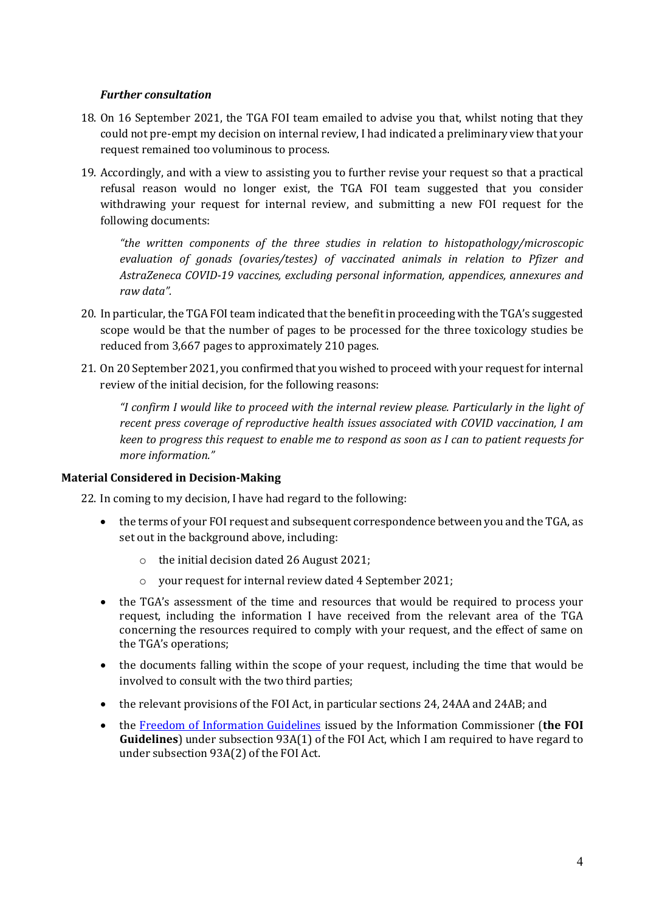## *Further consultation*

- 18. On 16 September 2021, the TGA FOI team emailed to advise you that, whilst noting that they could not pre-empt my decision on internal review, I had indicated a preliminary view that your request remained too voluminous to process.
- 19. Accordingly, and with a view to assisting you to further revise your request so that a practical refusal reason would no longer exist, the TGA FOI team suggested that you consider withdrawing your request for internal review, and submitting a new FOI request for the following documents:

*"the written components of the three studies in relation to histopathology/microscopic evaluation of gonads (ovaries/testes) of vaccinated animals in relation to Pfizer and AstraZeneca COVID-19 vaccines, excluding personal information, appendices, annexures and raw data".*

- 20. In particular, the TGA FOI team indicated that the benefit in proceeding with the TGA's suggested scope would be that the number of pages to be processed for the three toxicology studies be reduced from 3,667 pages to approximately 210 pages.
- 21. On 20 September 2021, you confirmed that you wished to proceed with your request for internal review of the initial decision, for the following reasons:

*"I confirm I would like to proceed with the internal review please. Particularly in the light of recent press coverage of reproductive health issues associated with COVID vaccination, I am keen to progress this request to enable me to respond as soon as I can to patient requests for more information."*

## **Material Considered in Decision-Making**

22. In coming to my decision, I have had regard to the following:

- the terms of your FOI request and subsequent correspondence between you and the TGA, as set out in the background above, including:
	- o the initial decision dated 26 August 2021;
	- o your request for internal review dated 4 September 2021;
- the TGA's assessment of the time and resources that would be required to process your request, including the information I have received from the relevant area of the TGA concerning the resources required to comply with your request, and the effect of same on the TGA's operations;
- the documents falling within the scope of your request, including the time that would be involved to consult with the two third parties;
- the relevant provisions of the FOI Act, in particular sections 24, 24AA and 24AB; and
- the [Freedom of Information Guidelines](https://www.oaic.gov.au/freedom-of-information/foi-guidelines/) issued by the Information Commissioner (**the FOI Guidelines**) under subsection 93A(1) of the FOI Act, which I am required to have regard to under subsection 93A(2) of the FOI Act.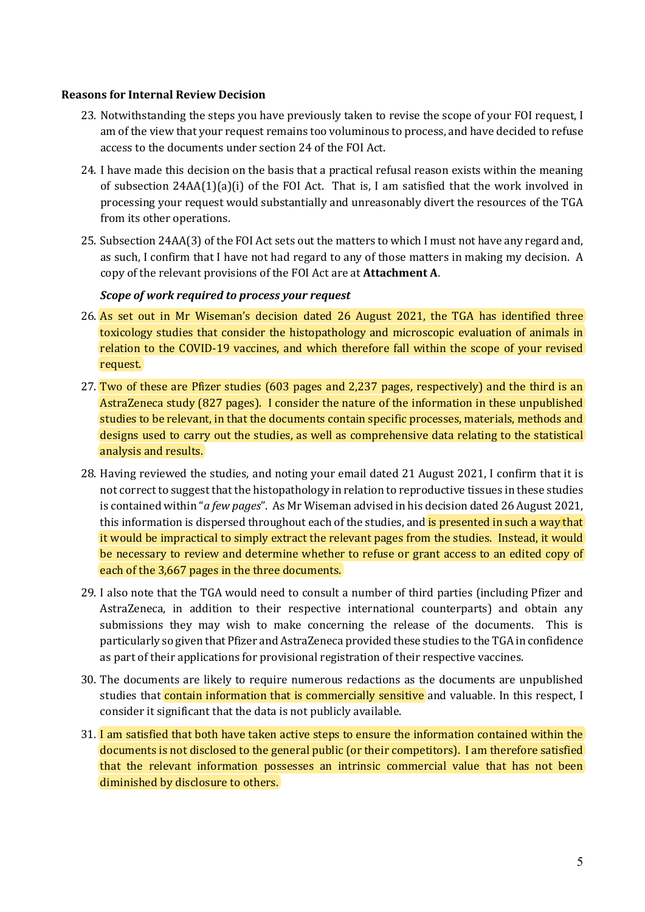### **Reasons for Internal Review Decision**

- 23. Notwithstanding the steps you have previously taken to revise the scope of your FOI request, I am of the view that your request remains too voluminous to process, and have decided to refuse access to the documents under section 24 of the FOI Act.
- 24. I have made this decision on the basis that a practical refusal reason exists within the meaning of subsection  $24AA(1)(a)(i)$  of the FOI Act. That is, I am satisfied that the work involved in processing your request would substantially and unreasonably divert the resources of the TGA from its other operations.
- 25. Subsection 24AA(3) of the FOI Act sets out the matters to which I must not have any regard and, as such, I confirm that I have not had regard to any of those matters in making my decision. A copy of the relevant provisions of the FOI Act are at **Attachment A**.

## *Scope of work required to process your request*

- 26. As set out in Mr Wiseman's decision dated 26 August 2021, the TGA has identified three toxicology studies that consider the histopathology and microscopic evaluation of animals in relation to the COVID-19 vaccines, and which therefore fall within the scope of your revised request.
- 27. Two of these are Pfizer studies (603 pages and 2,237 pages, respectively) and the third is an AstraZeneca study (827 pages). I consider the nature of the information in these unpublished studies to be relevant, in that the documents contain specific processes, materials, methods and designs used to carry out the studies, as well as comprehensive data relating to the statistical analysis and results.
- 28. Having reviewed the studies, and noting your email dated 21 August 2021, I confirm that it is not correct to suggest that the histopathology in relation to reproductive tissues in these studies is contained within "*a few pages*". As Mr Wiseman advised in his decision dated 26 August 2021, this information is dispersed throughout each of the studies, and is presented in such a way that it would be impractical to simply extract the relevant pages from the studies. Instead, it would be necessary to review and determine whether to refuse or grant access to an edited copy of each of the 3,667 pages in the three documents.
- 29. I also note that the TGA would need to consult a number of third parties (including Pfizer and AstraZeneca, in addition to their respective international counterparts) and obtain any submissions they may wish to make concerning the release of the documents. This is particularly so given that Pfizer and AstraZeneca provided these studies to the TGA in confidence as part of their applications for provisional registration of their respective vaccines.
- 30. The documents are likely to require numerous redactions as the documents are unpublished studies that **contain information that is commercially sensitive** and valuable. In this respect, I consider it significant that the data is not publicly available.
- 31. I am satisfied that both have taken active steps to ensure the information contained within the documents is not disclosed to the general public (or their competitors). I am therefore satisfied that the relevant information possesses an intrinsic commercial value that has not been diminished by disclosure to others.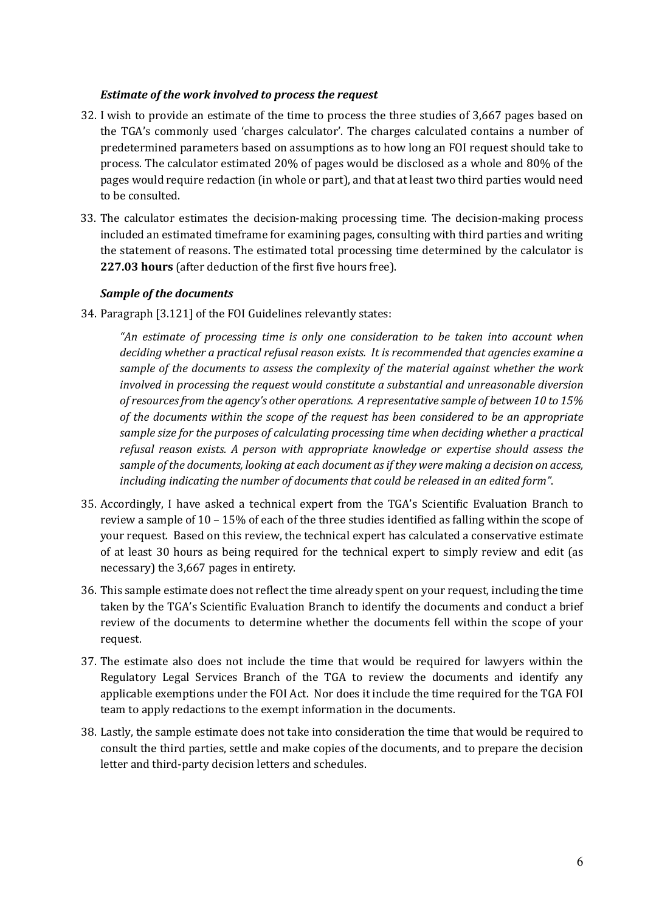## *Estimate of the work involved to process the request*

- 32. I wish to provide an estimate of the time to process the three studies of 3,667 pages based on the TGA's commonly used 'charges calculator'. The charges calculated contains a number of predetermined parameters based on assumptions as to how long an FOI request should take to process. The calculator estimated 20% of pages would be disclosed as a whole and 80% of the pages would require redaction (in whole or part), and that at least two third parties would need to be consulted.
- 33. The calculator estimates the decision-making processing time. The decision-making process included an estimated timeframe for examining pages, consulting with third parties and writing the statement of reasons. The estimated total processing time determined by the calculator is **227.03 hours** (after deduction of the first five hours free).

### *Sample of the documents*

34. Paragraph [3.121] of the FOI Guidelines relevantly states:

*"An estimate of processing time is only one consideration to be taken into account when deciding whether a practical refusal reason exists. It is recommended that agencies examine a sample of the documents to assess the complexity of the material against whether the work involved in processing the request would constitute a substantial and unreasonable diversion of resources from the agency's other operations. A representative sample of between 10 to 15% of the documents within the scope of the request has been considered to be an appropriate sample size for the purposes of calculating processing time when deciding whether a practical refusal reason exists. A person with appropriate knowledge or expertise should assess the sample of the documents, looking at each document as if they were making a decision on access, including indicating the number of documents that could be released in an edited form"*.

- 35. Accordingly, I have asked a technical expert from the TGA's Scientific Evaluation Branch to review a sample of 10 – 15% of each of the three studies identified as falling within the scope of your request. Based on this review, the technical expert has calculated a conservative estimate of at least 30 hours as being required for the technical expert to simply review and edit (as necessary) the 3,667 pages in entirety.
- 36. This sample estimate does not reflect the time already spent on your request, including the time taken by the TGA's Scientific Evaluation Branch to identify the documents and conduct a brief review of the documents to determine whether the documents fell within the scope of your request.
- 37. The estimate also does not include the time that would be required for lawyers within the Regulatory Legal Services Branch of the TGA to review the documents and identify any applicable exemptions under the FOI Act. Nor does it include the time required for the TGA FOI team to apply redactions to the exempt information in the documents.
- 38. Lastly, the sample estimate does not take into consideration the time that would be required to consult the third parties, settle and make copies of the documents, and to prepare the decision letter and third-party decision letters and schedules.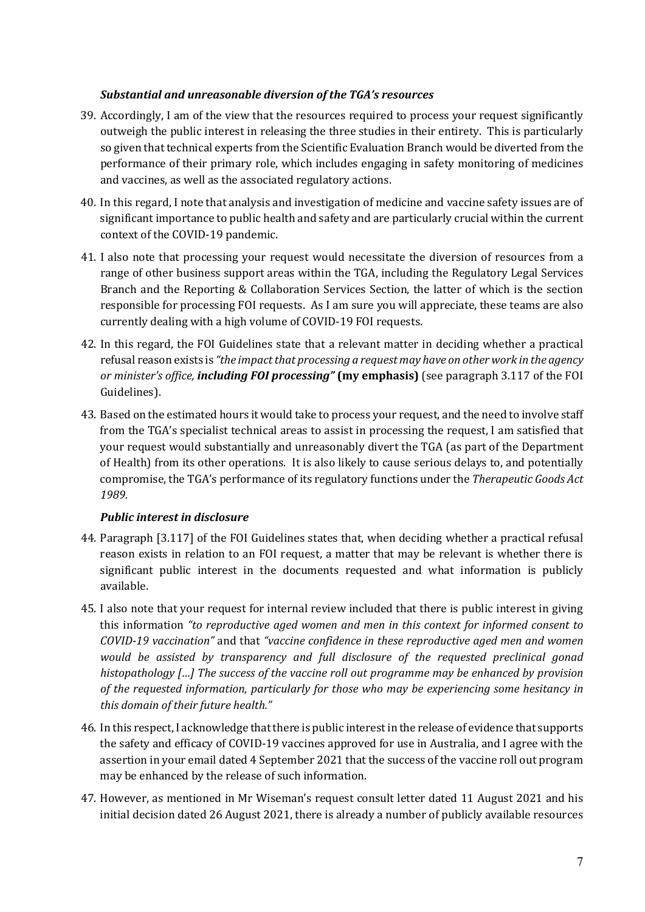## *Substantial and unreasonable diversion of the TGA's resources*

- 39. Accordingly, I am of the view that the resources required to process your request significantly outweigh the public interest in releasing the three studies in their entirety. This is particularly so given that technical experts from the Scientific Evaluation Branch would be diverted from the performance of their primary role, which includes engaging in safety monitoring of medicines and vaccines, as well as the associated regulatory actions.
- 40. In this regard, I note that analysis and investigation of medicine and vaccine safety issues are of significant importance to public health and safety and are particularly crucial within the current context of the COVID-19 pandemic.
- 41. I also note that processing your request would necessitate the diversion of resources from a range of other business support areas within the TGA, including the Regulatory Legal Services Branch and the Reporting & Collaboration Services Section, the latter of which is the section responsible for processing FOI requests. As I am sure you will appreciate, these teams are also currently dealing with a high volume of COVID-19 FOI requests.
- 42. In this regard, the FOI Guidelines state that a relevant matter in deciding whether a practical refusal reason exists is *"the impact that processing a request may have on other work in the agency or minister's office, including FOI processing"* **(my emphasis)** (see paragraph 3.117 of the FOI Guidelines).
- 43. Based on the estimated hours it would take to process your request, and the need to involve staff from the TGA's specialist technical areas to assist in processing the request, I am satisfied that your request would substantially and unreasonably divert the TGA (as part of the Department of Health) from its other operations. It is also likely to cause serious delays to, and potentially compromise, the TGA's performance of its regulatory functions under the *Therapeutic Goods Act 1989.*

# *Public interest in disclosure*

- 44. Paragraph [3.117] of the FOI Guidelines states that, when deciding whether a practical refusal reason exists in relation to an FOI request, a matter that may be relevant is whether there is significant public interest in the documents requested and what information is publicly available.
- 45. I also note that your request for internal review included that there is public interest in giving this information *"to reproductive aged women and men in this context for informed consent to COVID-19 vaccination"* and that *"vaccine confidence in these reproductive aged men and women would be assisted by transparency and full disclosure of the requested preclinical gonad histopathology […] The success of the vaccine roll out programme may be enhanced by provision of the requested information, particularly for those who may be experiencing some hesitancy in this domain of their future health."*
- 46. In this respect, I acknowledge that there is public interest in the release of evidence that supports the safety and efficacy of COVID-19 vaccines approved for use in Australia, and I agree with the assertion in your email dated 4 September 2021 that the success of the vaccine roll out program may be enhanced by the release of such information.
- 47. However, as mentioned in Mr Wiseman's request consult letter dated 11 August 2021 and his initial decision dated 26 August 2021, there is already a number of publicly available resources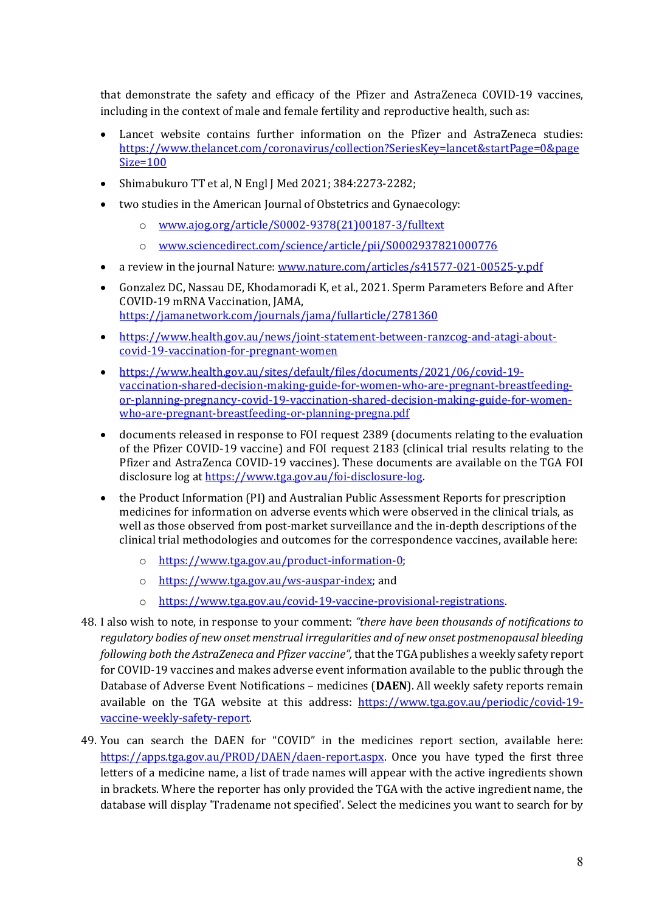that demonstrate the safety and efficacy of the Pfizer and AstraZeneca COVID-19 vaccines, including in the context of male and female fertility and reproductive health, such as:

- Lancet website contains further information on the Pfizer and AstraZeneca studies: [https://www.thelancet.com/coronavirus/collection?SeriesKey=lancet&startPage=0&page](https://www.thelancet.com/coronavirus/collection?SeriesKey=lancet&startPage=0&pageSize=100) [Size=100](https://www.thelancet.com/coronavirus/collection?SeriesKey=lancet&startPage=0&pageSize=100)
- Shimabukuro TT et al, N Engl J Med 2021; 384:2273-2282;
- two studies in the American Journal of Obstetrics and Gynaecology:
	- o [www.ajog.org/article/S0002-9378\(21\)00187-3/fulltext](http://www.ajog.org/article/S0002-9378(21)00187-3/fulltext)
	- o [www.sciencedirect.com/science/article/pii/S0002937821000776](http://www.sciencedirect.com/science/article/pii/S0002937821000776)
- a review in the journal Nature[: www.nature.com/articles/s41577-021-00525-y.pdf](http://www.nature.com/articles/s41577-021-00525-y.pdf)
- Gonzalez DC, Nassau DE, Khodamoradi K, et al., 2021. Sperm Parameters Before and After COVID-19 mRNA Vaccination, JAMA, <https://jamanetwork.com/journals/jama/fullarticle/2781360>
- [https://www.health.gov.au/news/joint-statement-between-ranzcog-and-atagi-about](https://www.health.gov.au/news/joint-statement-between-ranzcog-and-atagi-about-covid-19-vaccination-for-pregnant-women)[covid-19-vaccination-for-pregnant-women](https://www.health.gov.au/news/joint-statement-between-ranzcog-and-atagi-about-covid-19-vaccination-for-pregnant-women)
- [https://www.health.gov.au/sites/default/files/documents/2021/06/covid-19](https://www.health.gov.au/sites/default/files/documents/2021/06/covid-19-vaccination-shared-decision-making-guide-for-women-who-are-pregnant-breastfeeding-or-planning-pregnancy-covid-19-vaccination-shared-decision-making-guide-for-women-who-are-pregnant-breastfeeding-or-planning-pregna.pdf) [vaccination-shared-decision-making-guide-for-women-who-are-pregnant-breastfeeding](https://www.health.gov.au/sites/default/files/documents/2021/06/covid-19-vaccination-shared-decision-making-guide-for-women-who-are-pregnant-breastfeeding-or-planning-pregnancy-covid-19-vaccination-shared-decision-making-guide-for-women-who-are-pregnant-breastfeeding-or-planning-pregna.pdf)[or-planning-pregnancy-covid-19-vaccination-shared-decision-making-guide-for-women](https://www.health.gov.au/sites/default/files/documents/2021/06/covid-19-vaccination-shared-decision-making-guide-for-women-who-are-pregnant-breastfeeding-or-planning-pregnancy-covid-19-vaccination-shared-decision-making-guide-for-women-who-are-pregnant-breastfeeding-or-planning-pregna.pdf)[who-are-pregnant-breastfeeding-or-planning-pregna.pdf](https://www.health.gov.au/sites/default/files/documents/2021/06/covid-19-vaccination-shared-decision-making-guide-for-women-who-are-pregnant-breastfeeding-or-planning-pregnancy-covid-19-vaccination-shared-decision-making-guide-for-women-who-are-pregnant-breastfeeding-or-planning-pregna.pdf)
- documents released in response to FOI request 2389 (documents relating to the evaluation of the Pfizer COVID-19 vaccine) and FOI request 2183 (clinical trial results relating to the Pfizer and AstraZenca COVID-19 vaccines). These documents are available on the TGA FOI disclosure log a[t https://www.tga.gov.au/foi-disclosure-log.](https://www.tga.gov.au/foi-disclosure-log)
- the Product Information (PI) and Australian Public Assessment Reports for prescription medicines for information on adverse events which were observed in the clinical trials, as well as those observed from post-market surveillance and the in-depth descriptions of the clinical trial methodologies and outcomes for the correspondence vaccines, available here:
	- o [https://www.tga.gov.au/product-information-0;](https://www.tga.gov.au/product-information-0)
	- o [https://www.tga.gov.au/ws-auspar-index;](https://www.tga.gov.au/ws-auspar-index) and
	- o [https://www.tga.gov.au/covid-19-vaccine-provisional-registrations.](https://www.tga.gov.au/covid-19-vaccine-provisional-registrations)
- 48. I also wish to note, in response to your comment: *"there have been thousands of notifications to regulatory bodies of new onset menstrual irregularities and of new onset postmenopausal bleeding following both the AstraZeneca and Pfizer vaccine",* that the TGA publishes a weekly safety report for COVID-19 vaccines and makes adverse event information available to the public through the Database of Adverse Event Notifications – medicines (**DAEN**). All weekly safety reports remain available on the TGA website at this address: [https://www.tga.gov.au/periodic/covid-19](https://www.tga.gov.au/periodic/covid-19-vaccine-weekly-safety-report) [vaccine-weekly-safety-report.](https://www.tga.gov.au/periodic/covid-19-vaccine-weekly-safety-report)
- 49. You can search the DAEN for "COVID" in the medicines report section, available here: [https://apps.tga.gov.au/PROD/DAEN/daen-report.aspx.](https://apps.tga.gov.au/PROD/DAEN/daen-report.aspx) Once you have typed the first three letters of a medicine name, a list of trade names will appear with the active ingredients shown in brackets. Where the reporter has only provided the TGA with the active ingredient name, the database will display 'Tradename not specified'. Select the medicines you want to search for by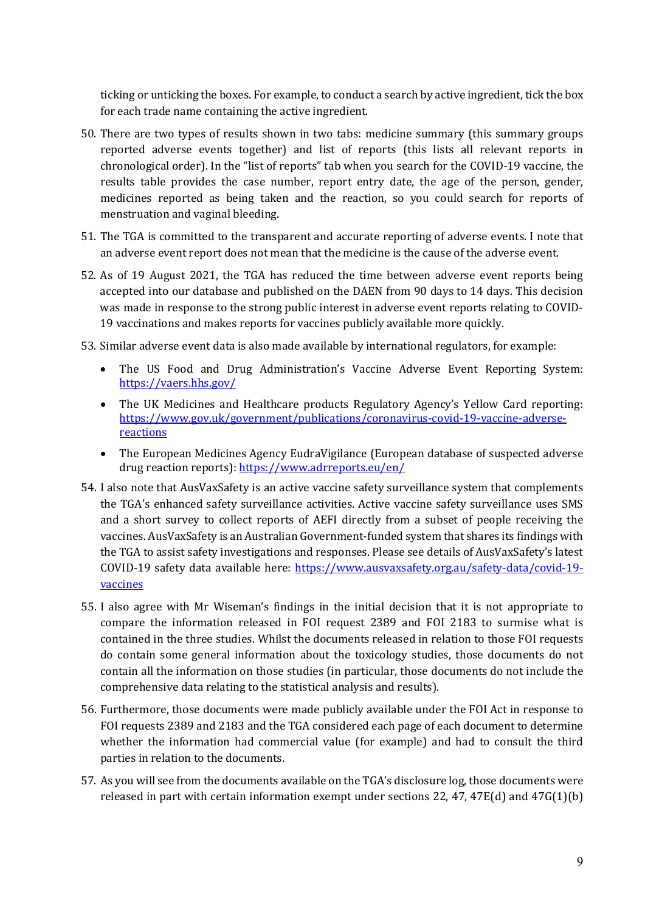ticking or unticking the boxes. For example, to conduct a search by active ingredient, tick the box for each trade name containing the active ingredient.

- 50. There are two types of results shown in two tabs: medicine summary (this summary groups reported adverse events together) and list of reports (this lists all relevant reports in chronological order). In the "list of reports" tab when you search for the COVID-19 vaccine, the results table provides the case number, report entry date, the age of the person, gender, medicines reported as being taken and the reaction, so you could search for reports of menstruation and vaginal bleeding.
- 51. The TGA is committed to the transparent and accurate reporting of adverse events. I note that an adverse event report does not mean that the medicine is the cause of the adverse event.
- 52. As of 19 August 2021, the TGA has reduced the time between adverse event reports being accepted into our database and published on the DAEN from 90 days to 14 days. This decision was made in response to the strong public interest in adverse event reports relating to COVID-19 vaccinations and makes reports for vaccines publicly available more quickly.
- 53. Similar adverse event data is also made available by international regulators, for example:
	- The US Food and Drug Administration's Vaccine Adverse Event Reporting System: <https://vaers.hhs.gov/>
	- The UK Medicines and Healthcare products Regulatory Agency's Yellow Card reporting: [https://www.gov.uk/government/publications/coronavirus-covid-19-vaccine-adverse](https://www.gov.uk/government/publications/coronavirus-covid-19-vaccine-adverse-reactions)[reactions](https://www.gov.uk/government/publications/coronavirus-covid-19-vaccine-adverse-reactions)
	- The European Medicines Agency EudraVigilance (European database of suspected adverse drug reaction reports):<https://www.adrreports.eu/en/>
- 54. I also note that AusVaxSafety is an active vaccine safety surveillance system that complements the TGA's enhanced safety surveillance activities. Active vaccine safety surveillance uses SMS and a short survey to collect reports of AEFI directly from a subset of people receiving the vaccines. AusVaxSafety is an Australian Government-funded system that shares its findings with the TGA to assist safety investigations and responses. Please see details of AusVaxSafety's latest COVID-19 safety data available here: [https://www.ausvaxsafety.org.au/safety-data/covid-19](https://www.ausvaxsafety.org.au/safety-data/covid-19-vaccines) [vaccines](https://www.ausvaxsafety.org.au/safety-data/covid-19-vaccines)
- 55. I also agree with Mr Wiseman's findings in the initial decision that it is not appropriate to compare the information released in FOI request 2389 and FOI 2183 to surmise what is contained in the three studies. Whilst the documents released in relation to those FOI requests do contain some general information about the toxicology studies, those documents do not contain all the information on those studies (in particular, those documents do not include the comprehensive data relating to the statistical analysis and results).
- 56. Furthermore, those documents were made publicly available under the FOI Act in response to FOI requests 2389 and 2183 and the TGA considered each page of each document to determine whether the information had commercial value (for example) and had to consult the third parties in relation to the documents.
- 57. As you will see from the documents available on the TGA's disclosure log, those documents were released in part with certain information exempt under sections 22, 47, 47 $E(d)$  and 47 $G(1)(b)$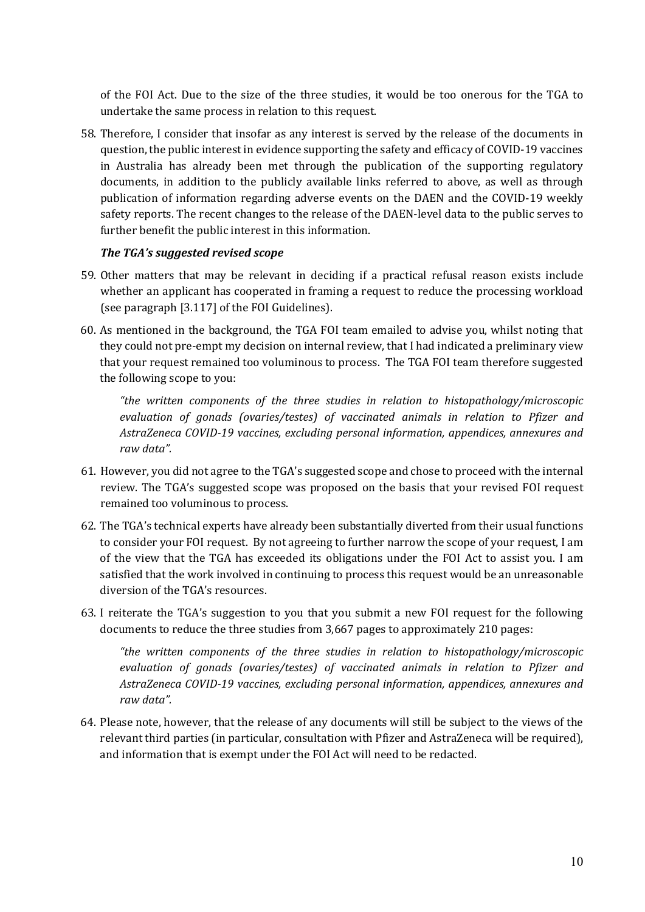of the FOI Act. Due to the size of the three studies, it would be too onerous for the TGA to undertake the same process in relation to this request.

58. Therefore, I consider that insofar as any interest is served by the release of the documents in question, the public interest in evidence supporting the safety and efficacy of COVID-19 vaccines in Australia has already been met through the publication of the supporting regulatory documents, in addition to the publicly available links referred to above, as well as through publication of information regarding adverse events on the DAEN and the COVID-19 weekly safety reports. The recent changes to the release of the DAEN-level data to the public serves to further benefit the public interest in this information.

## *The TGA's suggested revised scope*

- 59. Other matters that may be relevant in deciding if a practical refusal reason exists include whether an applicant has cooperated in framing a request to reduce the processing workload (see paragraph [3.117] of the FOI Guidelines).
- 60. As mentioned in the background, the TGA FOI team emailed to advise you, whilst noting that they could not pre-empt my decision on internal review, that I had indicated a preliminary view that your request remained too voluminous to process. The TGA FOI team therefore suggested the following scope to you:

*"the written components of the three studies in relation to histopathology/microscopic evaluation of gonads (ovaries/testes) of vaccinated animals in relation to Pfizer and AstraZeneca COVID-19 vaccines, excluding personal information, appendices, annexures and raw data".* 

- 61. However, you did not agree to the TGA's suggested scope and chose to proceed with the internal review. The TGA's suggested scope was proposed on the basis that your revised FOI request remained too voluminous to process.
- 62. The TGA's technical experts have already been substantially diverted from their usual functions to consider your FOI request. By not agreeing to further narrow the scope of your request, I am of the view that the TGA has exceeded its obligations under the FOI Act to assist you. I am satisfied that the work involved in continuing to process this request would be an unreasonable diversion of the TGA's resources.
- 63. I reiterate the TGA's suggestion to you that you submit a new FOI request for the following documents to reduce the three studies from 3,667 pages to approximately 210 pages:

*"the written components of the three studies in relation to histopathology/microscopic evaluation of gonads (ovaries/testes) of vaccinated animals in relation to Pfizer and AstraZeneca COVID-19 vaccines, excluding personal information, appendices, annexures and raw data".*

64. Please note, however, that the release of any documents will still be subject to the views of the relevant third parties (in particular, consultation with Pfizer and AstraZeneca will be required), and information that is exempt under the FOI Act will need to be redacted.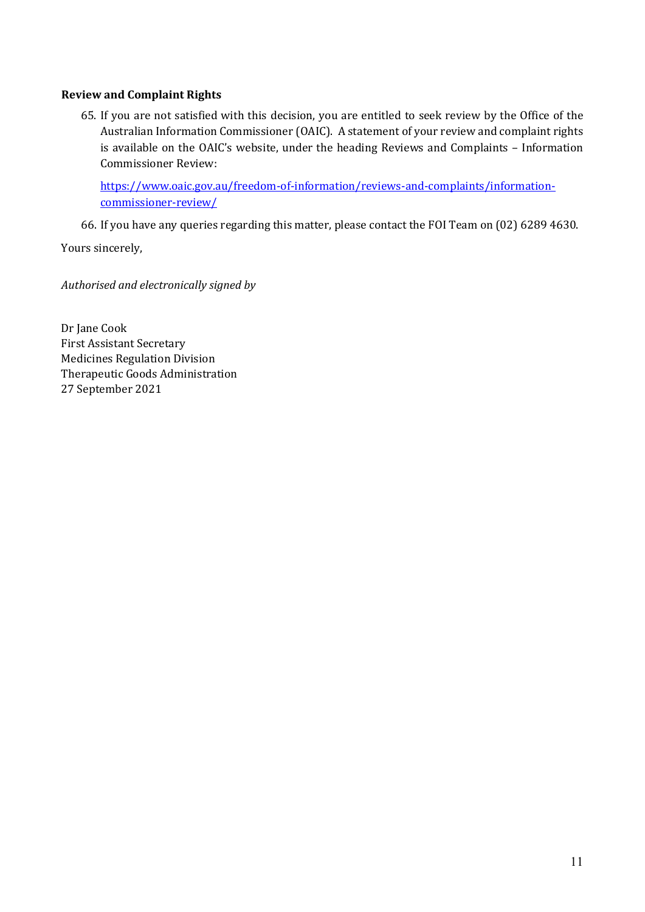## **Review and Complaint Rights**

65. If you are not satisfied with this decision, you are entitled to seek review by the Office of the Australian Information Commissioner (OAIC). A statement of your review and complaint rights is available on the OAIC's website, under the heading Reviews and Complaints – Information Commissioner Review:

[https://www.oaic.gov.au/freedom-of-information/reviews-and-complaints/information](https://www.oaic.gov.au/freedom-of-information/reviews-and-complaints/information-commissioner-review/)[commissioner-review/](https://www.oaic.gov.au/freedom-of-information/reviews-and-complaints/information-commissioner-review/)

66. If you have any queries regarding this matter, please contact the FOI Team on (02) 6289 4630.

Yours sincerely,

*Authorised and electronically signed by* 

Dr Jane Cook First Assistant Secretary Medicines Regulation Division Therapeutic Goods Administration 27 September 2021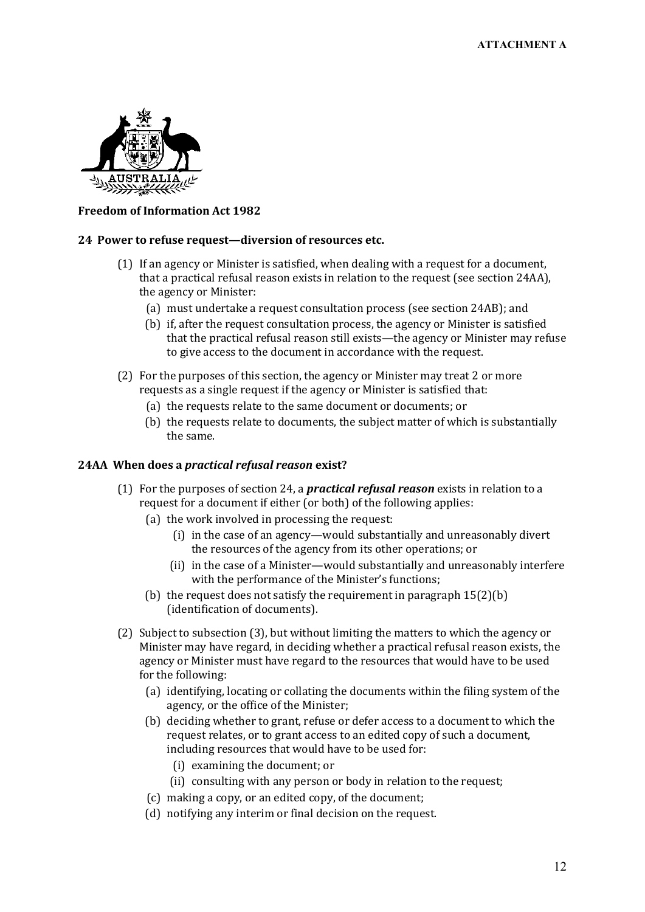

### **Freedom of Information Act 1982**

#### **24 Power to refuse request—diversion of resources etc.**

- (1) If an agency or Minister is satisfied, when dealing with a request for a document, that a practical refusal reason exists in relation to the request (see section 24AA), the agency or Minister:
	- (a) must undertake a request consultation process (see section 24AB); and
	- (b) if, after the request consultation process, the agency or Minister is satisfied that the practical refusal reason still exists—the agency or Minister may refuse to give access to the document in accordance with the request.
- (2) For the purposes of this section, the agency or Minister may treat 2 or more requests as a single request if the agency or Minister is satisfied that:
	- (a) the requests relate to the same document or documents; or
	- (b) the requests relate to documents, the subject matter of which is substantially the same.

#### **24AA When does a** *practical refusal reason* **exist?**

- (1) For the purposes of section 24, a *practical refusal reason* exists in relation to a request for a document if either (or both) of the following applies:
	- (a) the work involved in processing the request:
		- (i) in the case of an agency—would substantially and unreasonably divert the resources of the agency from its other operations; or
		- (ii) in the case of a Minister—would substantially and unreasonably interfere with the performance of the Minister's functions;
	- (b) the request does not satisfy the requirement in paragraph 15(2)(b) (identification of documents).
- (2) Subject to subsection (3), but without limiting the matters to which the agency or Minister may have regard, in deciding whether a practical refusal reason exists, the agency or Minister must have regard to the resources that would have to be used for the following:
	- (a) identifying, locating or collating the documents within the filing system of the agency, or the office of the Minister;
	- (b) deciding whether to grant, refuse or defer access to a document to which the request relates, or to grant access to an edited copy of such a document, including resources that would have to be used for:
		- (i) examining the document; or
		- (ii) consulting with any person or body in relation to the request;
	- (c) making a copy, or an edited copy, of the document;
	- (d) notifying any interim or final decision on the request.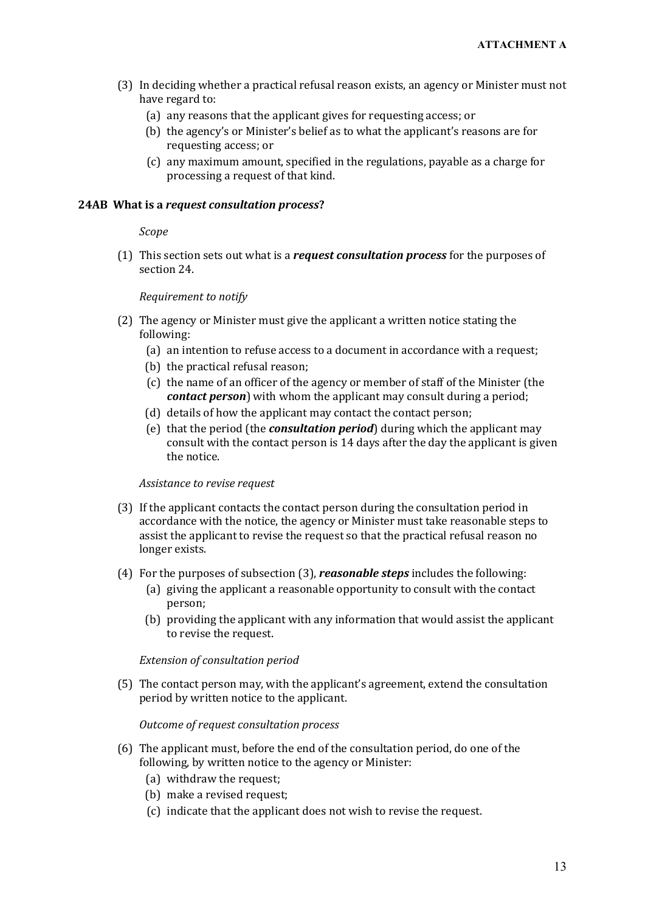- (3) In deciding whether a practical refusal reason exists, an agency or Minister must not have regard to:
	- (a) any reasons that the applicant gives for requesting access; or
	- (b) the agency's or Minister's belief as to what the applicant's reasons are for requesting access; or
	- (c) any maximum amount, specified in the regulations, payable as a charge for processing a request of that kind.

#### **24AB What is a** *request consultation process***?**

#### *Scope*

(1) This section sets out what is a *request consultation process* for the purposes of section 24.

### *Requirement to notify*

- (2) The agency or Minister must give the applicant a written notice stating the following:
	- (a) an intention to refuse access to a document in accordance with a request;
	- (b) the practical refusal reason;
	- (c) the name of an officer of the agency or member of staff of the Minister (the *contact person*) with whom the applicant may consult during a period;
	- (d) details of how the applicant may contact the contact person;
	- (e) that the period (the *consultation period*) during which the applicant may consult with the contact person is 14 days after the day the applicant is given the notice.

#### *Assistance to revise request*

- (3) If the applicant contacts the contact person during the consultation period in accordance with the notice, the agency or Minister must take reasonable steps to assist the applicant to revise the request so that the practical refusal reason no longer exists.
- (4) For the purposes of subsection (3), *reasonable steps* includes the following:
	- (a) giving the applicant a reasonable opportunity to consult with the contact person;
	- (b) providing the applicant with any information that would assist the applicant to revise the request.

### *Extension of consultation period*

(5) The contact person may, with the applicant's agreement, extend the consultation period by written notice to the applicant.

#### *Outcome of request consultation process*

- (6) The applicant must, before the end of the consultation period, do one of the following, by written notice to the agency or Minister:
	- (a) withdraw the request;
	- (b) make a revised request;
	- (c) indicate that the applicant does not wish to revise the request.